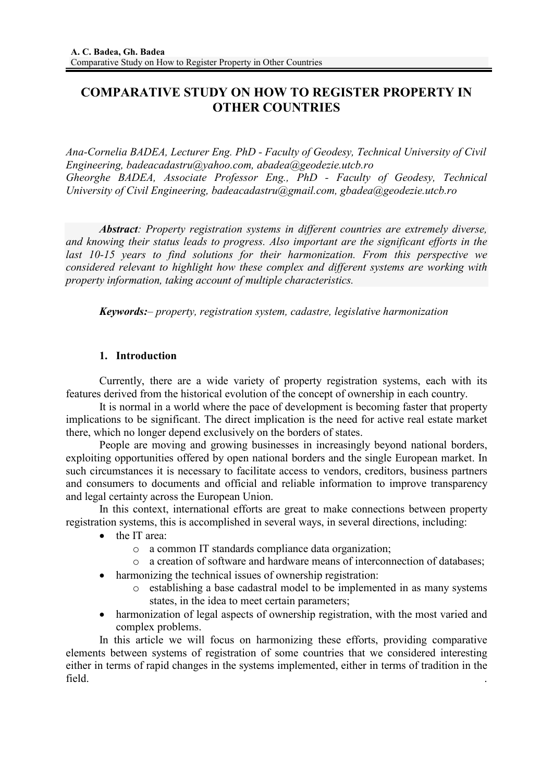# **COMPARATIVE STUDY ON HOW TO REGISTER PROPERTY IN OTHER COUNTRIES**

*Ana-Cornelia BADEA, Lecturer Eng. PhD - Faculty of Geodesy, Technical University of Civil Engineering, badeacadastru@yahoo.com, abadea@geodezie.utcb.ro Gheorghe BADEA, Associate Professor Eng., PhD - Faculty of Geodesy, Technical University of Civil Engineering, badeacadastru@gmail.com, gbadea@geodezie.utcb.ro* 

*Abstract: Property registration systems in different countries are extremely diverse, and knowing their status leads to progress. Also important are the significant efforts in the last 10-15 years to find solutions for their harmonization. From this perspective we considered relevant to highlight how these complex and different systems are working with property information, taking account of multiple characteristics.*

*Keywords:– property, registration system, cadastre, legislative harmonization* 

## **1. Introduction**

Currently, there are a wide variety of property registration systems, each with its features derived from the historical evolution of the concept of ownership in each country.

It is normal in a world where the pace of development is becoming faster that property implications to be significant. The direct implication is the need for active real estate market there, which no longer depend exclusively on the borders of states.

People are moving and growing businesses in increasingly beyond national borders, exploiting opportunities offered by open national borders and the single European market. In such circumstances it is necessary to facilitate access to vendors, creditors, business partners and consumers to documents and official and reliable information to improve transparency and legal certainty across the European Union.

In this context, international efforts are great to make connections between property registration systems, this is accomplished in several ways, in several directions, including:

- the IT area:
	- o a common IT standards compliance data organization;
	- o a creation of software and hardware means of interconnection of databases;
- harmonizing the technical issues of ownership registration:
	- o establishing a base cadastral model to be implemented in as many systems states, in the idea to meet certain parameters;
- harmonization of legal aspects of ownership registration, with the most varied and complex problems.

In this article we will focus on harmonizing these efforts, providing comparative elements between systems of registration of some countries that we considered interesting either in terms of rapid changes in the systems implemented, either in terms of tradition in the field. .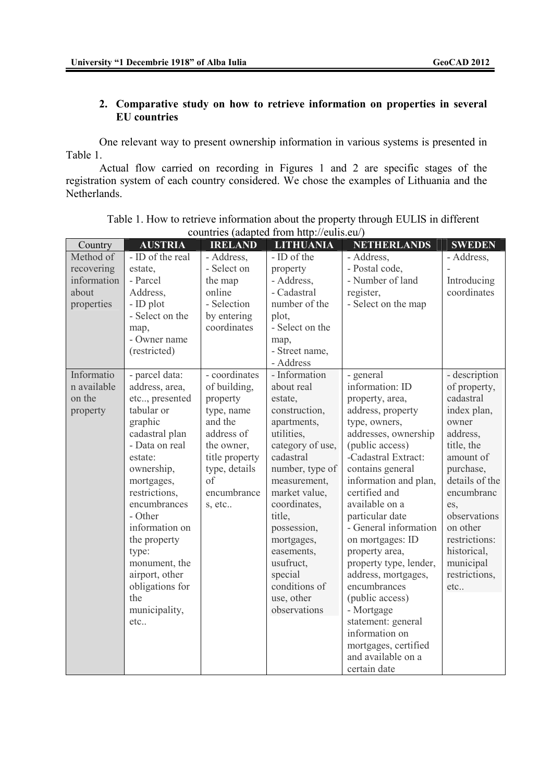# **2. Comparative study on how to retrieve information on properties in several EU countries**

One relevant way to present ownership information in various systems is presented in Table 1.

Actual flow carried on recording in Figures 1 and 2 are specific stages of the registration system of each country considered. We chose the examples of Lithuania and the Netherlands.

| Country                                                       | <b>AUSTRIA</b>                                                                                                                                                                                                                                                                                                                     | <b>IRELAND</b>                                                                                                                                                   | <b>LITHUANIA</b>                                                                                                                                                                                                                                                                                                      | <b>NETHERLANDS</b>                                                                                                                                                                                                                                                                                                                                                                                                                                                                                                                | <b>SWEDEN</b>                                                                                                                                                                                                                                                  |
|---------------------------------------------------------------|------------------------------------------------------------------------------------------------------------------------------------------------------------------------------------------------------------------------------------------------------------------------------------------------------------------------------------|------------------------------------------------------------------------------------------------------------------------------------------------------------------|-----------------------------------------------------------------------------------------------------------------------------------------------------------------------------------------------------------------------------------------------------------------------------------------------------------------------|-----------------------------------------------------------------------------------------------------------------------------------------------------------------------------------------------------------------------------------------------------------------------------------------------------------------------------------------------------------------------------------------------------------------------------------------------------------------------------------------------------------------------------------|----------------------------------------------------------------------------------------------------------------------------------------------------------------------------------------------------------------------------------------------------------------|
| Method of<br>recovering<br>information<br>about<br>properties | - ID of the real<br>estate,<br>- Parcel<br>Address,<br>- ID plot<br>- Select on the<br>map,<br>- Owner name<br>(restricted)                                                                                                                                                                                                        | - Address,<br>- Select on<br>the map<br>online<br>- Selection<br>by entering<br>coordinates                                                                      | - ID of the<br>property<br>- Address,<br>- Cadastral<br>number of the<br>plot,<br>- Select on the<br>map,<br>- Street name,<br>- Address                                                                                                                                                                              | - Address,<br>- Postal code,<br>- Number of land<br>register,<br>- Select on the map                                                                                                                                                                                                                                                                                                                                                                                                                                              | - Address,<br>Introducing<br>coordinates                                                                                                                                                                                                                       |
| Informatio<br>n available<br>on the<br>property               | - parcel data:<br>address, area,<br>etc, presented<br>tabular or<br>graphic<br>cadastral plan<br>- Data on real<br>estate:<br>ownership,<br>mortgages,<br>restrictions,<br>encumbrances<br>- Other<br>information on<br>the property<br>type:<br>monument, the<br>airport, other<br>obligations for<br>the<br>municipality,<br>etc | - coordinates<br>of building,<br>property<br>type, name<br>and the<br>address of<br>the owner,<br>title property<br>type, details<br>of<br>encumbrance<br>s, etc | - Information<br>about real<br>estate,<br>construction,<br>apartments,<br>utilities,<br>category of use,<br>cadastral<br>number, type of<br>measurement,<br>market value,<br>coordinates,<br>title,<br>possession,<br>mortgages,<br>easements,<br>usufruct,<br>special<br>conditions of<br>use, other<br>observations | - general<br>information: ID<br>property, area,<br>address, property<br>type, owners,<br>addresses, ownership<br>(public access)<br>-Cadastral Extract:<br>contains general<br>information and plan,<br>certified and<br>available on a<br>particular date<br>- General information<br>on mortgages: ID<br>property area,<br>property type, lender,<br>address, mortgages,<br>encumbrances<br>(public access)<br>- Mortgage<br>statement: general<br>information on<br>mortgages, certified<br>and available on a<br>certain date | - description<br>of property,<br>cadastral<br>index plan,<br>owner<br>address,<br>title, the<br>amount of<br>purchase,<br>details of the<br>encumbranc<br>es,<br>observations<br>on other<br>restrictions:<br>historical,<br>municipal<br>restrictions,<br>etc |

| Table 1. How to retrieve information about the property through EULIS in different |  |
|------------------------------------------------------------------------------------|--|
| countries (adapted from http://eulis.eu/)                                          |  |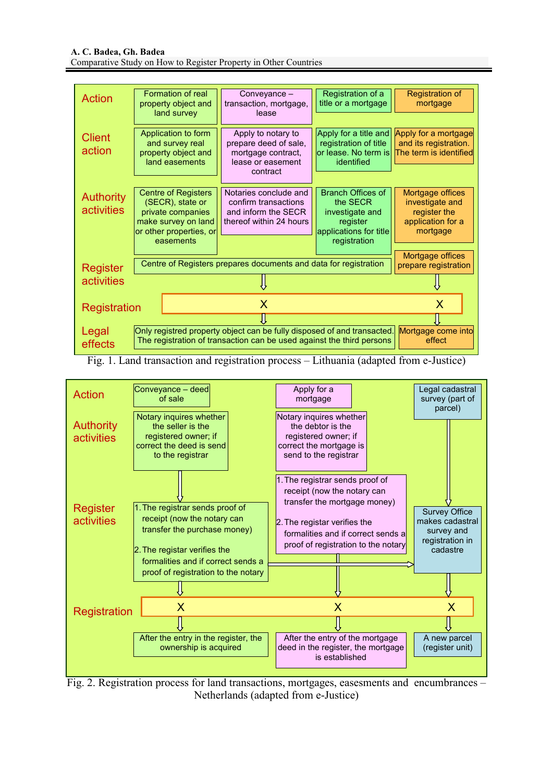| Action                                                                                                                                                                                               | Formation of real<br>property object and<br>land survey                                                                            | Conveyance -<br>transaction, mortgage,<br>lease                                                    | Registration of a<br>title or a mortgage                                                                      | Registration of<br>mortgage                                                          |  |  |  |
|------------------------------------------------------------------------------------------------------------------------------------------------------------------------------------------------------|------------------------------------------------------------------------------------------------------------------------------------|----------------------------------------------------------------------------------------------------|---------------------------------------------------------------------------------------------------------------|--------------------------------------------------------------------------------------|--|--|--|
| <b>Client</b><br>action                                                                                                                                                                              | Application to form<br>and survey real<br>property object and<br>land easements                                                    | Apply to notary to<br>prepare deed of sale,<br>mortgage contract,<br>lease or easement<br>contract | Apply for a title and<br>registration of title<br>or lease. No term is<br>identified                          | Apply for a mortgage<br>and its registration.<br>The term is identified              |  |  |  |
| <b>Authority</b><br><b>activities</b>                                                                                                                                                                | <b>Centre of Registers</b><br>(SECR), state or<br>private companies<br>make survey on land<br>or other properties, or<br>easements | Notaries conclude and<br>confirm transactions<br>and inform the SECR<br>thereof within 24 hours    | <b>Branch Offices of</b><br>the SECR<br>investigate and<br>register<br>applications for title<br>registration | Mortgage offices<br>investigate and<br>register the<br>application for a<br>mortgage |  |  |  |
| Register                                                                                                                                                                                             | Centre of Registers prepares documents and data for registration                                                                   | Mortgage offices<br>prepare registration                                                           |                                                                                                               |                                                                                      |  |  |  |
| activities                                                                                                                                                                                           |                                                                                                                                    |                                                                                                    |                                                                                                               |                                                                                      |  |  |  |
| X<br>X<br>Registration                                                                                                                                                                               |                                                                                                                                    |                                                                                                    |                                                                                                               |                                                                                      |  |  |  |
| Only registred property object can be fully disposed of and transacted.<br>Legal<br>Mortgage come into<br>The registration of transaction can be used against the third persons<br>effect<br>effects |                                                                                                                                    |                                                                                                    |                                                                                                               |                                                                                      |  |  |  |

Fig. 1. Land transaction and registration process – Lithuania (adapted from e-Justice)



Fig. 2. Registration process for land transactions, mortgages, easesments and encumbrances – Netherlands (adapted from e-Justice)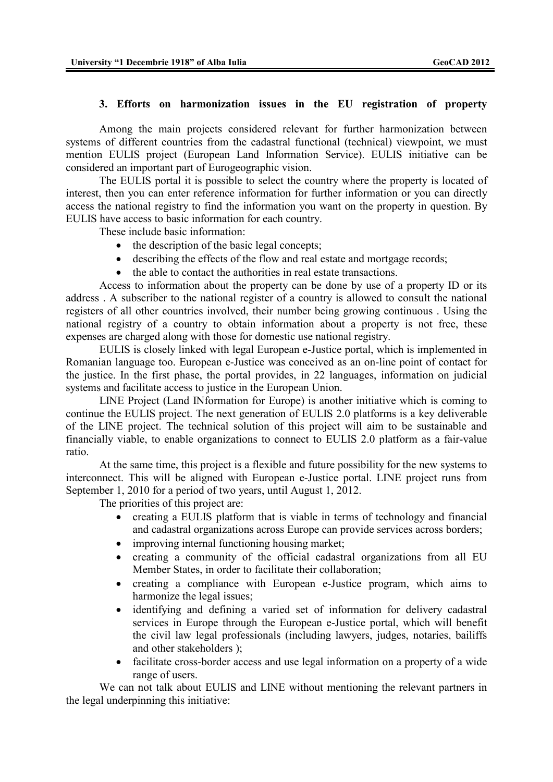#### **3. Efforts on harmonization issues in the EU registration of property**

Among the main projects considered relevant for further harmonization between systems of different countries from the cadastral functional (technical) viewpoint, we must mention EULIS project (European Land Information Service). EULIS initiative can be considered an important part of Eurogeographic vision.

The EULIS portal it is possible to select the country where the property is located of interest, then you can enter reference information for further information or you can directly access the national registry to find the information you want on the property in question. By EULIS have access to basic information for each country.

These include basic information:

- the description of the basic legal concepts;
- describing the effects of the flow and real estate and mortgage records;
- the able to contact the authorities in real estate transactions.

Access to information about the property can be done by use of a property ID or its address . A subscriber to the national register of a country is allowed to consult the national registers of all other countries involved, their number being growing continuous . Using the national registry of a country to obtain information about a property is not free, these expenses are charged along with those for domestic use national registry.

EULIS is closely linked with legal European e-Justice portal, which is implemented in Romanian language too. European e-Justice was conceived as an on-line point of contact for the justice. In the first phase, the portal provides, in 22 languages, information on judicial systems and facilitate access to justice in the European Union.

LINE Project (Land INformation for Europe) is another initiative which is coming to continue the EULIS project. The next generation of EULIS 2.0 platforms is a key deliverable of the LINE project. The technical solution of this project will aim to be sustainable and financially viable, to enable organizations to connect to EULIS 2.0 platform as a fair-value ratio.

At the same time, this project is a flexible and future possibility for the new systems to interconnect. This will be aligned with European e-Justice portal. LINE project runs from September 1, 2010 for a period of two years, until August 1, 2012.

The priorities of this project are:

- creating a EULIS platform that is viable in terms of technology and financial and cadastral organizations across Europe can provide services across borders;
- improving internal functioning housing market;
- creating a community of the official cadastral organizations from all EU Member States, in order to facilitate their collaboration;
- creating a compliance with European e-Justice program, which aims to harmonize the legal issues;
- identifying and defining a varied set of information for delivery cadastral services in Europe through the European e-Justice portal, which will benefit the civil law legal professionals (including lawyers, judges, notaries, bailiffs and other stakeholders );
- facilitate cross-border access and use legal information on a property of a wide range of users.

We can not talk about EULIS and LINE without mentioning the relevant partners in the legal underpinning this initiative: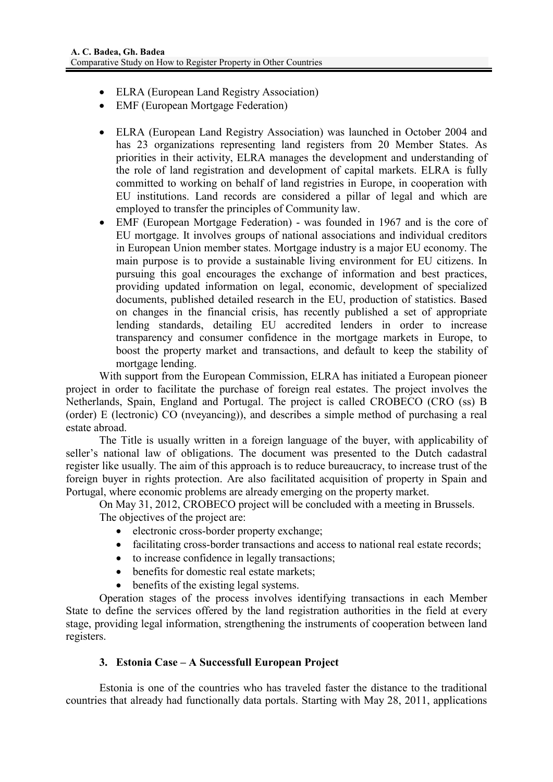- ELRA (European Land Registry Association)
- EMF (European Mortgage Federation)
- ELRA (European Land Registry Association) was launched in October 2004 and has 23 organizations representing land registers from 20 Member States. As priorities in their activity, ELRA manages the development and understanding of the role of land registration and development of capital markets. ELRA is fully committed to working on behalf of land registries in Europe, in cooperation with EU institutions. Land records are considered a pillar of legal and which are employed to transfer the principles of Community law.
- EMF (European Mortgage Federation) was founded in 1967 and is the core of EU mortgage. It involves groups of national associations and individual creditors in European Union member states. Mortgage industry is a major EU economy. The main purpose is to provide a sustainable living environment for EU citizens. In pursuing this goal encourages the exchange of information and best practices, providing updated information on legal, economic, development of specialized documents, published detailed research in the EU, production of statistics. Based on changes in the financial crisis, has recently published a set of appropriate lending standards, detailing EU accredited lenders in order to increase transparency and consumer confidence in the mortgage markets in Europe, to boost the property market and transactions, and default to keep the stability of mortgage lending.

With support from the European Commission, ELRA has initiated a European pioneer project in order to facilitate the purchase of foreign real estates. The project involves the Netherlands, Spain, England and Portugal. The project is called CROBECO (CRO (ss) B (order) E (lectronic) CO (nveyancing)), and describes a simple method of purchasing a real estate abroad.

The Title is usually written in a foreign language of the buyer, with applicability of seller's national law of obligations. The document was presented to the Dutch cadastral register like usually. The aim of this approach is to reduce bureaucracy, to increase trust of the foreign buyer in rights protection. Are also facilitated acquisition of property in Spain and Portugal, where economic problems are already emerging on the property market.

On May 31, 2012, CROBECO project will be concluded with a meeting in Brussels. The objectives of the project are:

- electronic cross-border property exchange;
- facilitating cross-border transactions and access to national real estate records;
- to increase confidence in legally transactions;
- benefits for domestic real estate markets:
- benefits of the existing legal systems.

Operation stages of the process involves identifying transactions in each Member State to define the services offered by the land registration authorities in the field at every stage, providing legal information, strengthening the instruments of cooperation between land registers.

### **3. Estonia Case – A Successfull European Project**

Estonia is one of the countries who has traveled faster the distance to the traditional countries that already had functionally data portals. Starting with May 28, 2011, applications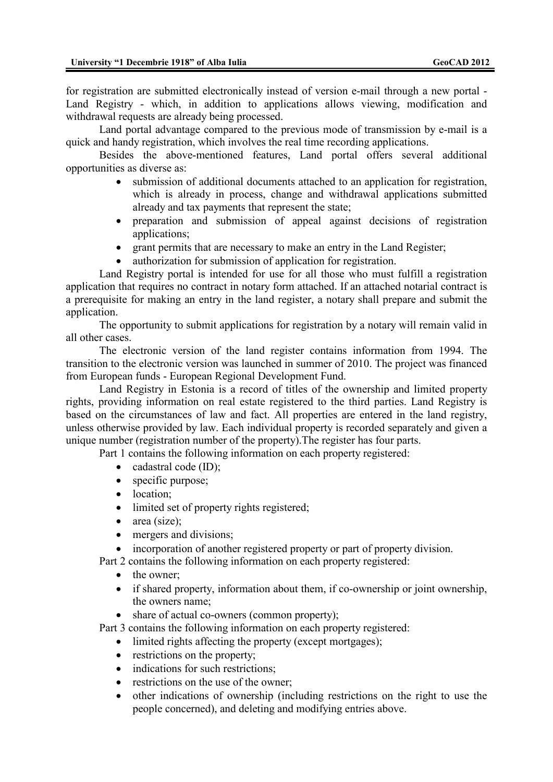for registration are submitted electronically instead of version e-mail through a new portal - Land Registry - which, in addition to applications allows viewing, modification and withdrawal requests are already being processed.

Land portal advantage compared to the previous mode of transmission by e-mail is a quick and handy registration, which involves the real time recording applications.

Besides the above-mentioned features, Land portal offers several additional opportunities as diverse as:

- submission of additional documents attached to an application for registration, which is already in process, change and withdrawal applications submitted already and tax payments that represent the state;
- preparation and submission of appeal against decisions of registration applications;
- grant permits that are necessary to make an entry in the Land Register;
- authorization for submission of application for registration.

Land Registry portal is intended for use for all those who must fulfill a registration application that requires no contract in notary form attached. If an attached notarial contract is a prerequisite for making an entry in the land register, a notary shall prepare and submit the application.

The opportunity to submit applications for registration by a notary will remain valid in all other cases.

The electronic version of the land register contains information from 1994. The transition to the electronic version was launched in summer of 2010. The project was financed from European funds - European Regional Development Fund.

Land Registry in Estonia is a record of titles of the ownership and limited property rights, providing information on real estate registered to the third parties. Land Registry is based on the circumstances of law and fact. All properties are entered in the land registry, unless otherwise provided by law. Each individual property is recorded separately and given a unique number (registration number of the property).The register has four parts.

Part 1 contains the following information on each property registered:

- cadastral code (ID);
- specific purpose;
- location:
- limited set of property rights registered;
- $\bullet$  area (size);
- mergers and divisions:
- incorporation of another registered property or part of property division.

Part 2 contains the following information on each property registered:

- the owner;
- if shared property, information about them, if co-ownership or joint ownership, the owners name;
- share of actual co-owners (common property);

Part 3 contains the following information on each property registered:

- limited rights affecting the property (except mortgages);
- restrictions on the property;
- indications for such restrictions:
- restrictions on the use of the owner;
- other indications of ownership (including restrictions on the right to use the people concerned), and deleting and modifying entries above.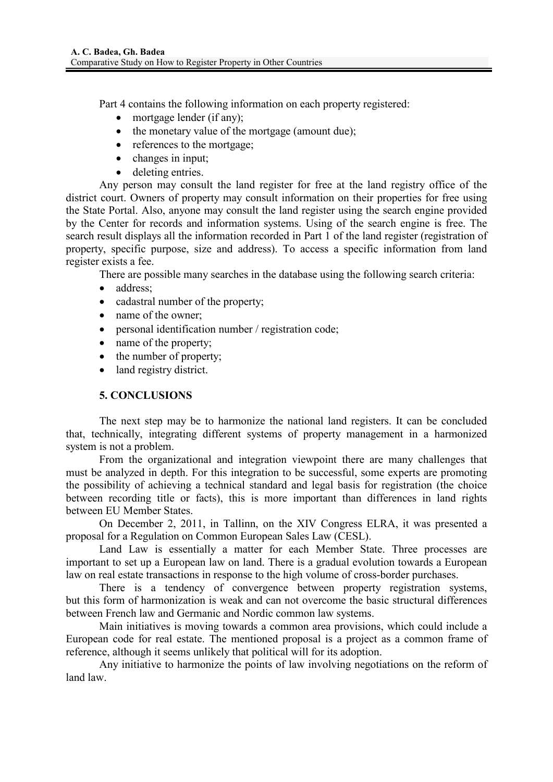Part 4 contains the following information on each property registered:

- mortgage lender (if any);
- the monetary value of the mortgage (amount due);
- references to the mortgage;
- changes in input;
- deleting entries.

Any person may consult the land register for free at the land registry office of the district court. Owners of property may consult information on their properties for free using the State Portal. Also, anyone may consult the land register using the search engine provided by the Center for records and information systems. Using of the search engine is free. The search result displays all the information recorded in Part 1 of the land register (registration of property, specific purpose, size and address). To access a specific information from land register exists a fee.

There are possible many searches in the database using the following search criteria:

- address;
- cadastral number of the property;
- 
- name of the owner;<br>• personal identificati • personal identification number / registration code;
- name of the property;
- the number of property;
- land registry district.

## **5. CONCLUSIONS**

The next step may be to harmonize the national land registers. It can be concluded that, technically, integrating different systems of property management in a harmonized system is not a problem.

From the organizational and integration viewpoint there are many challenges that must be analyzed in depth. For this integration to be successful, some experts are promoting the possibility of achieving a technical standard and legal basis for registration (the choice between recording title or facts), this is more important than differences in land rights between EU Member States.

On December 2, 2011, in Tallinn, on the XIV Congress ELRA, it was presented a proposal for a Regulation on Common European Sales Law (CESL).

Land Law is essentially a matter for each Member State. Three processes are important to set up a European law on land. There is a gradual evolution towards a European law on real estate transactions in response to the high volume of cross-border purchases.

There is a tendency of convergence between property registration systems, but this form of harmonization is weak and can not overcome the basic structural differences between French law and Germanic and Nordic common law systems.

Main initiatives is moving towards a common area provisions, which could include a European code for real estate. The mentioned proposal is a project as a common frame of reference, although it seems unlikely that political will for its adoption.

Any initiative to harmonize the points of law involving negotiations on the reform of land law.